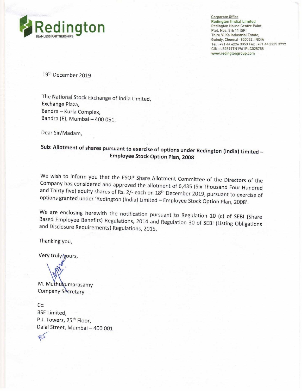

Corporate Office Redington [India] Limited Redington House Centre Point, Thiru.Vi.Ka Industrial Estate, Tel: +91 44 4224 3353 Fax : +91 44 2225 3799 CIN : L52599TN1961PLC028758 www.redingtongroup.com

19<sup>th</sup> December 2019

The National Stock Exchange of India Limited, Exchange Plaza, Bandra — Kurla Complex, Bandra (E), Mumbai — 400 051.

Dear Sir/Madam,

## Sub: Allotment of shares pursuant to exercise of options under Redington (India) Limited — Employee Stock Option Plan, <sup>2008</sup>

We wish to inform you that the ESOP Share Allotment Committee of the Directors of the Company has considered and approved the allotment of 6,435 (Six Thousand Four Hundred and Thirty five) equity shares of Rs. 2/- each on

We are enclosing herewith the notification pursuant to Regulation 10 (c) of SEBI (Share Based Employee Benefits) Regulations, 2014 and Regulation 30 of SEBI (Listing Obligations and Disclosure Requirements) Regulations. 20

Thanking you,

Very truly yours,

7

M. Muthukumarasamy Company Secretary

Cc: BSE Limited, P.J. Towers, 25<sup>th</sup> Floor, Dalal Street, Mumbai - 400 001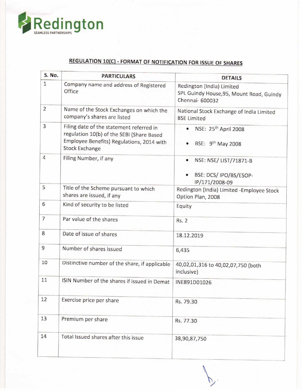

## REGULATION 10(C) - FORMAT OF NOTIFICATION FOR ISSUE OF SHARES

| Redington<br><b>AMLESS PARTNERSHIPS</b><br><b>REGULATION 10(C) - FORMAT OF NOTIFICATION FOR ISSUE OF SHARES</b> |                                                                                                                                                             |                                                                                         |  |  |
|-----------------------------------------------------------------------------------------------------------------|-------------------------------------------------------------------------------------------------------------------------------------------------------------|-----------------------------------------------------------------------------------------|--|--|
| S. No.                                                                                                          | <b>PARTICULARS</b>                                                                                                                                          | <b>DETAILS</b>                                                                          |  |  |
| $\mathbf{1}$                                                                                                    | Company name and address of Registered<br>Office                                                                                                            | Redington (India) Limited<br>SPL Guindy House, 95, Mount Road, Guindy<br>Chennai-600032 |  |  |
| $\overline{2}$                                                                                                  | Name of the Stock Exchanges on which the<br>company's shares are listed                                                                                     | National Stock Exchange of India Limited<br><b>BSE Limited</b>                          |  |  |
| 3                                                                                                               | Filing date of the statement referred in<br>regulation 10(b) of the SEBI (Share Based<br>Employee Benefits) Regulations, 2014 with<br><b>Stock Exchange</b> | NSE: 25 <sup>th</sup> April 2008<br>BSE: 9 <sup>th</sup> May 2008                       |  |  |
| $\overline{4}$                                                                                                  | Filing Number, if any                                                                                                                                       | NSE: NSE/LIST/71871-B<br>۰<br>BSE: DCS/IPO/BS/ESOP-<br>IP/171/2008-09                   |  |  |
| 5                                                                                                               | Title of the Scheme pursuant to which<br>shares are issued, if any                                                                                          | Redington (India) Limited - Employee Stock<br>Option Plan, 2008                         |  |  |
| 6                                                                                                               | Kind of security to be listed                                                                                                                               | Equity                                                                                  |  |  |
| $\overline{7}$                                                                                                  | Par value of the shares                                                                                                                                     | <b>Rs. 2</b>                                                                            |  |  |
| 8                                                                                                               | Date of issue of shares                                                                                                                                     | 18.12.2019                                                                              |  |  |
| 9                                                                                                               | Number of shares issued                                                                                                                                     | 6,435                                                                                   |  |  |
| 10                                                                                                              | Distinctive number of the share, if applicable                                                                                                              | 40,02,01,316 to 40,02,07,750 (both<br>inclusive)                                        |  |  |
| 11                                                                                                              | ISIN Number of the shares if issued in Demat                                                                                                                | INE891D01026                                                                            |  |  |
| 12                                                                                                              | Exercise price per share                                                                                                                                    | Rs. 79.30                                                                               |  |  |
| 13                                                                                                              | Premium per share                                                                                                                                           | Rs. 77.30                                                                               |  |  |
| 14                                                                                                              | Total Issued shares after this issue                                                                                                                        | 38,90,87,750                                                                            |  |  |